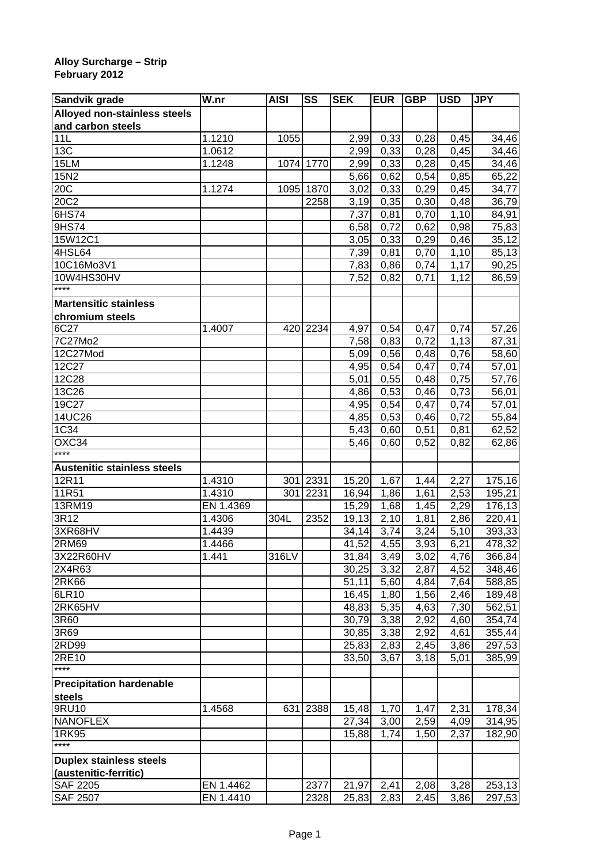## **Alloy Surcharge – Strip February 2012**

| Sandvik grade                       | W.nr      | <b>AISI</b> | SS        | <b>SEK</b>         | <b>EUR</b> | <b>GBP</b> | <b>USD</b> | <b>JPY</b> |
|-------------------------------------|-----------|-------------|-----------|--------------------|------------|------------|------------|------------|
| <b>Alloyed non-stainless steels</b> |           |             |           |                    |            |            |            |            |
| and carbon steels                   |           |             |           |                    |            |            |            |            |
| 11L                                 | 1.1210    | 1055        |           | 2,99               | 0,33       | 0,28       | 0,45       | 34,46      |
| 13C                                 | 1.0612    |             |           | 2,99               | 0,33       | 0,28       | 0,45       | 34,46      |
| 15LM                                | 1.1248    |             | 1074 1770 | 2,99               | 0,33       | 0,28       | 0,45       | 34,46      |
| 15N2                                |           |             |           | 5,66               | 0,62       | 0,54       | 0,85       | 65,22      |
| 20C                                 | 1.1274    | 1095        | 1870      | 3,02               | 0,33       | 0,29       | 0,45       | 34,77      |
| 20C2                                |           |             | 2258      | 3,19               | 0,35       | 0,30       | 0,48       | 36,79      |
| 6HS74                               |           |             |           | 7,37               | 0,81       | 0,70       | 1,10       | 84,91      |
| 9HS74                               |           |             |           | 6,58               | 0,72       | 0,62       | 0,98       | 75,83      |
| 15W12C1                             |           |             |           | 3,05               | 0,33       | 0,29       | 0,46       | 35,12      |
| 4HSL64                              |           |             |           | 7,39               | 0,81       | 0,70       | 1,10       | 85,13      |
| 10C16Mo3V1                          |           |             |           | 7,83               | 0,86       | 0,74       | 1,17       | 90,25      |
| 10W4HS30HV                          |           |             |           | 7,52               | 0,82       | 0,71       | 1,12       | 86,59      |
| ****                                |           |             |           |                    |            |            |            |            |
| <b>Martensitic stainless</b>        |           |             |           |                    |            |            |            |            |
| chromium steels                     |           |             |           |                    |            |            |            |            |
| 6C <sub>27</sub>                    | 1.4007    | 420         | 2234      | 4,97               | 0,54       | 0,47       | 0,74       | 57,26      |
| 7C27Mo2                             |           |             |           | 7,58               | 0,83       | 0,72       | 1,13       | 87,31      |
| 12C27Mod                            |           |             |           | 5,09               | 0,56       | 0,48       | 0,76       | 58,60      |
| 12C27                               |           |             |           | 4,95               | 0,54       | 0,47       | 0,74       | 57,01      |
| 12C28                               |           |             |           | 5,01               | 0,55       | 0,48       | 0,75       | 57,76      |
| 13C26                               |           |             |           | 4,86               | 0,53       | 0,46       | 0,73       | 56,01      |
| 19C27                               |           |             |           | 4,95               | 0,54       | 0,47       | 0,74       | 57,01      |
| 14UC26                              |           |             |           | 4,85               | 0,53       | 0,46       | 0,72       | 55,84      |
| 1C34                                |           |             |           | 5,43               | 0,60       | 0,51       | 0,81       | 62,52      |
| $\overline{OXC34}$                  |           |             |           | 5,46               | 0,60       | 0,52       | 0,82       | 62,86      |
| ****                                |           |             |           |                    |            |            |            |            |
| <b>Austenitic stainless steels</b>  |           |             |           |                    |            |            |            |            |
| 12R11                               | 1.4310    | 301         | 2331      | 15,20              | 1,67       | 1,44       | 2,27       | 175,16     |
| 11R51                               | 1.4310    | 301         | 2231      | 16,94              | 1,86       | 1,61       | 2,53       | 195,21     |
| 13RM19                              | EN 1.4369 |             |           | 15,29              | 1,68       | 1,45       | 2,29       | 176,13     |
| 3R12                                | 1.4306    | 304L        | 2352      | 19,13              | 2,10       | 1,81       | 2,86       | 220,41     |
| 3XR68HV                             | 1.4439    |             |           | 34,14              | 3,74       | 3,24       | 5,10       | 393,33     |
| 2RM69                               | 1.4466    |             |           | 41,52              | 4,55       | 3,93       | 6,21       | 478,32     |
| 3X22R60HV                           | 1.441     | 316LV       |           | 31,84              | 3,49       | 3,02       | 4,76       | 366,84     |
| 2X4R63                              |           |             |           | $\overline{30,25}$ | 3,32       | 2,87       | 4,52       | 348,46     |
| <b>2RK66</b>                        |           |             |           | 51,11              | 5,60       | 4,84       | 7,64       | 588,85     |
| 6LR10                               |           |             |           | 16,45              | 1,80       | 1,56       | 2,46       | 189,48     |
| 2RK65HV                             |           |             |           | 48,83              | 5,35       | 4,63       | 7,30       | 562,51     |
| 3R60                                |           |             |           | 30,79              | 3,38       | 2,92       | 4,60       | 354,74     |
| 3R69                                |           |             |           | 30,85              | 3,38       | 2,92       | 4,61       | 355,44     |
| 2RD99                               |           |             |           | 25,83              | 2,83       | 2,45       | 3,86       | 297,53     |
| 2RE10                               |           |             |           | 33,50              | 3,67       | 3,18       | 5,01       | 385,99     |
| $***$                               |           |             |           |                    |            |            |            |            |
|                                     |           |             |           |                    |            |            |            |            |
| <b>Precipitation hardenable</b>     |           |             |           |                    |            |            |            |            |
| steels<br>9RU10                     | 1.4568    | 631         | 2388      | 15,48              | 1,70       | 1,47       | 2,31       | 178,34     |
| <b>NANOFLEX</b>                     |           |             |           |                    |            |            |            |            |
|                                     |           |             |           | 27,34              | 3,00       | 2,59       | 4,09       | 314,95     |
| 1RK95<br>$****$                     |           |             |           | 15,88              | 1,74       | 1,50       | 2,37       | 182,90     |
|                                     |           |             |           |                    |            |            |            |            |
| <b>Duplex stainless steels</b>      |           |             |           |                    |            |            |            |            |
| (austenitic-ferritic)               |           |             |           |                    |            |            |            |            |
| <b>SAF 2205</b>                     | EN 1.4462 |             | 2377      | 21,97              | 2,41       | 2,08       | 3,28       | 253,13     |
| <b>SAF 2507</b>                     | EN 1.4410 |             | 2328      | 25,83              | 2,83       | 2,45       | 3,86       | 297,53     |